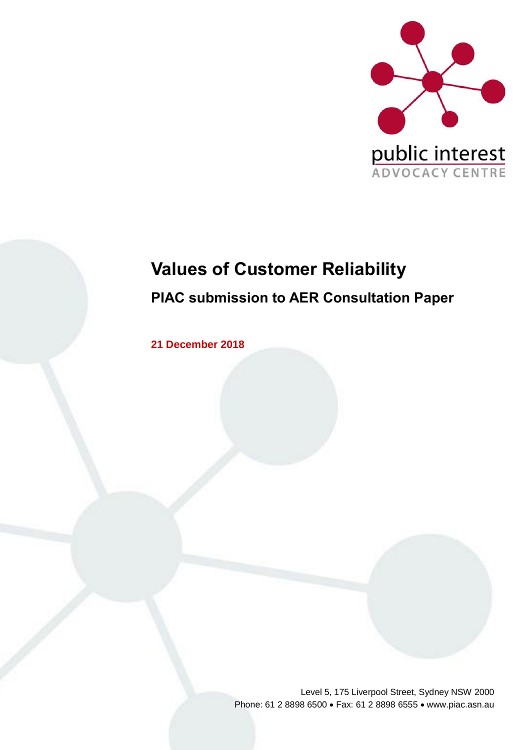

# **Values of Customer Reliability PIAC submission to AER Consultation Paper**

**21 December 2018**

Level 5, 175 Liverpool Street, Sydney NSW 2000 Phone: 61 2 8898 6500 • Fax: 61 2 8898 6555 • www.piac.asn.au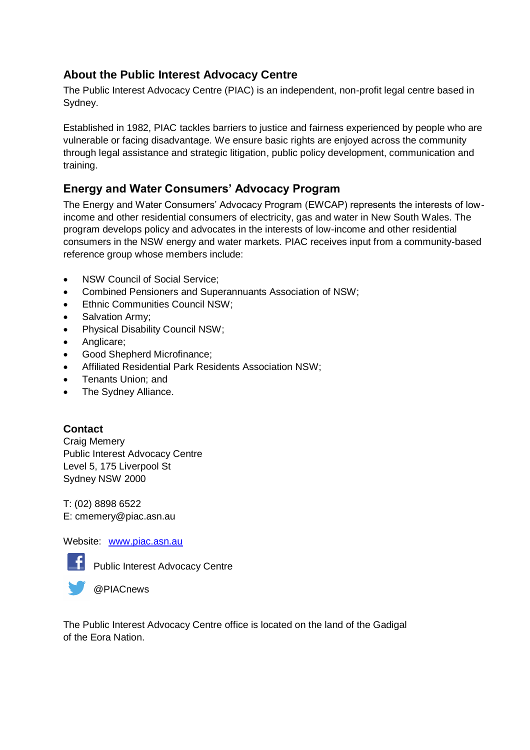### **About the Public Interest Advocacy Centre**

The Public Interest Advocacy Centre (PIAC) is an independent, non-profit legal centre based in Sydney.

Established in 1982, PIAC tackles barriers to justice and fairness experienced by people who are vulnerable or facing disadvantage. We ensure basic rights are enjoyed across the community through legal assistance and strategic litigation, public policy development, communication and training.

## **Energy and Water Consumers' Advocacy Program**

The Energy and Water Consumers' Advocacy Program (EWCAP) represents the interests of lowincome and other residential consumers of electricity, gas and water in New South Wales. The program develops policy and advocates in the interests of low-income and other residential consumers in the NSW energy and water markets. PIAC receives input from a community-based reference group whose members include:

- NSW Council of Social Service:
- Combined Pensioners and Superannuants Association of NSW;
- Ethnic Communities Council NSW;
- Salvation Army;
- Physical Disability Council NSW;
- Anglicare;
- Good Shepherd Microfinance;
- Affiliated Residential Park Residents Association NSW;
- Tenants Union; and
- The Sydney Alliance.

#### **Contact**

Craig Memery Public Interest Advocacy Centre Level 5, 175 Liverpool St Sydney NSW 2000

T: (02) 8898 6522 E: cmemery@piac.asn.au

Website: [www.piac.asn.au](http://www.piac.asn.au/)



**F** Public Interest Advocacy Centre



The Public Interest Advocacy Centre office is located on the land of the Gadigal of the Eora Nation.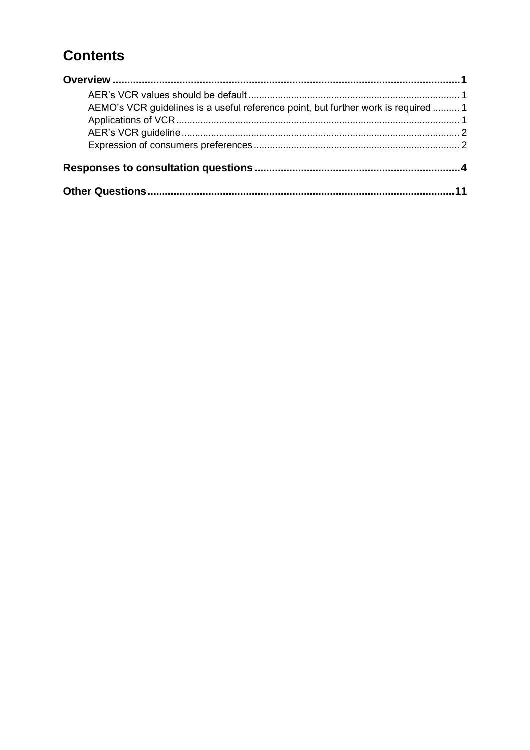## **Contents**

| AEMO's VCR guidelines is a useful reference point, but further work is required  1 |  |
|------------------------------------------------------------------------------------|--|
|                                                                                    |  |
|                                                                                    |  |
|                                                                                    |  |
|                                                                                    |  |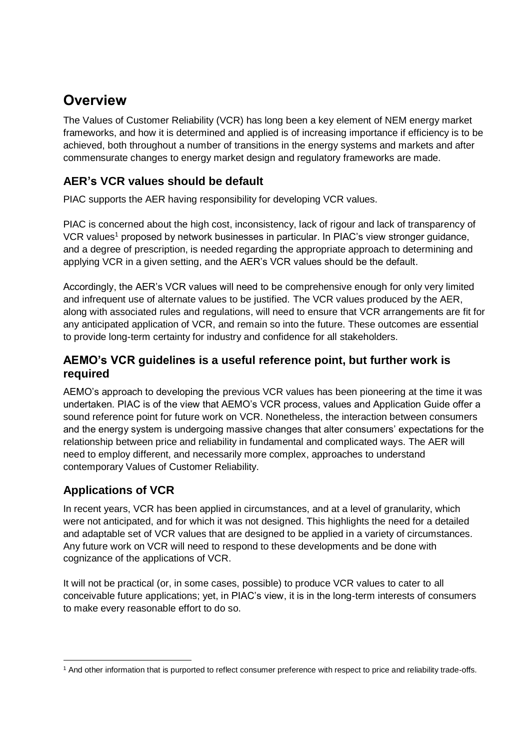## <span id="page-4-0"></span>**Overview**

The Values of Customer Reliability (VCR) has long been a key element of NEM energy market frameworks, and how it is determined and applied is of increasing importance if efficiency is to be achieved, both throughout a number of transitions in the energy systems and markets and after commensurate changes to energy market design and regulatory frameworks are made.

## <span id="page-4-1"></span>**AER's VCR values should be default**

PIAC supports the AER having responsibility for developing VCR values.

PIAC is concerned about the high cost, inconsistency, lack of rigour and lack of transparency of VCR values<sup>1</sup> proposed by network businesses in particular. In PIAC's view stronger guidance, and a degree of prescription, is needed regarding the appropriate approach to determining and applying VCR in a given setting, and the AER's VCR values should be the default.

Accordingly, the AER's VCR values will need to be comprehensive enough for only very limited and infrequent use of alternate values to be justified. The VCR values produced by the AER, along with associated rules and regulations, will need to ensure that VCR arrangements are fit for any anticipated application of VCR, and remain so into the future. These outcomes are essential to provide long-term certainty for industry and confidence for all stakeholders.

### <span id="page-4-2"></span>**AEMO's VCR guidelines is a useful reference point, but further work is required**

AEMO's approach to developing the previous VCR values has been pioneering at the time it was undertaken. PIAC is of the view that AEMO's VCR process, values and Application Guide offer a sound reference point for future work on VCR. Nonetheless, the interaction between consumers and the energy system is undergoing massive changes that alter consumers' expectations for the relationship between price and reliability in fundamental and complicated ways. The AER will need to employ different, and necessarily more complex, approaches to understand contemporary Values of Customer Reliability.

## <span id="page-4-3"></span>**Applications of VCR**

In recent years, VCR has been applied in circumstances, and at a level of granularity, which were not anticipated, and for which it was not designed. This highlights the need for a detailed and adaptable set of VCR values that are designed to be applied in a variety of circumstances. Any future work on VCR will need to respond to these developments and be done with cognizance of the applications of VCR.

It will not be practical (or, in some cases, possible) to produce VCR values to cater to all conceivable future applications; yet, in PIAC's view, it is in the long-term interests of consumers to make every reasonable effort to do so.

 $\overline{a}$ <sup>1</sup> And other information that is purported to reflect consumer preference with respect to price and reliability trade-offs.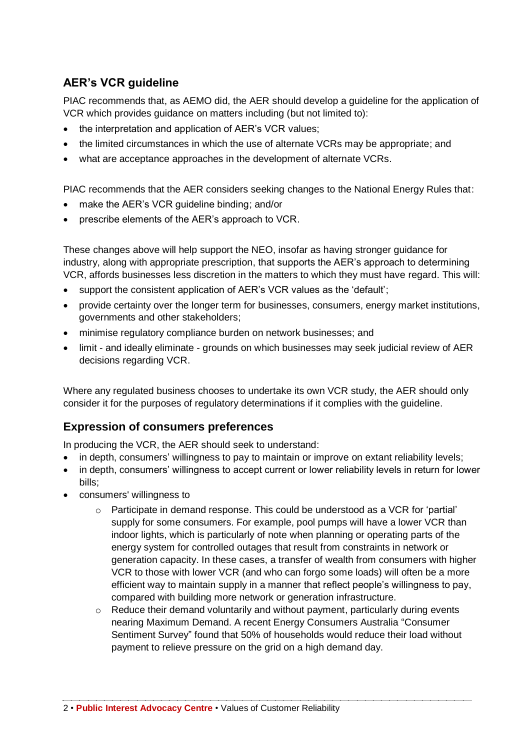## <span id="page-5-0"></span>**AER's VCR guideline**

PIAC recommends that, as AEMO did, the AER should develop a guideline for the application of VCR which provides guidance on matters including (but not limited to):

- the interpretation and application of AER's VCR values;
- the limited circumstances in which the use of alternate VCRs may be appropriate; and
- what are acceptance approaches in the development of alternate VCRs.

PIAC recommends that the AER considers seeking changes to the National Energy Rules that:

- make the AER's VCR guideline binding; and/or
- prescribe elements of the AER's approach to VCR.

These changes above will help support the NEO, insofar as having stronger guidance for industry, along with appropriate prescription, that supports the AER's approach to determining VCR, affords businesses less discretion in the matters to which they must have regard. This will:

- support the consistent application of AER's VCR values as the 'default';
- provide certainty over the longer term for businesses, consumers, energy market institutions, governments and other stakeholders;
- minimise regulatory compliance burden on network businesses: and
- limit and ideally eliminate grounds on which businesses may seek judicial review of AER decisions regarding VCR.

Where any regulated business chooses to undertake its own VCR study, the AER should only consider it for the purposes of regulatory determinations if it complies with the guideline.

### <span id="page-5-1"></span>**Expression of consumers preferences**

In producing the VCR, the AER should seek to understand:

- in depth, consumers' willingness to pay to maintain or improve on extant reliability levels;
- in depth, consumers' willingness to accept current or lower reliability levels in return for lower bills;
- consumers' willingness to
	- $\circ$  Participate in demand response. This could be understood as a VCR for 'partial' supply for some consumers. For example, pool pumps will have a lower VCR than indoor lights, which is particularly of note when planning or operating parts of the energy system for controlled outages that result from constraints in network or generation capacity. In these cases, a transfer of wealth from consumers with higher VCR to those with lower VCR (and who can forgo some loads) will often be a more efficient way to maintain supply in a manner that reflect people's willingness to pay, compared with building more network or generation infrastructure.
	- o Reduce their demand voluntarily and without payment, particularly during events nearing Maximum Demand. A recent Energy Consumers Australia "Consumer Sentiment Survey" found that 50% of households would reduce their load without payment to relieve pressure on the grid on a high demand day.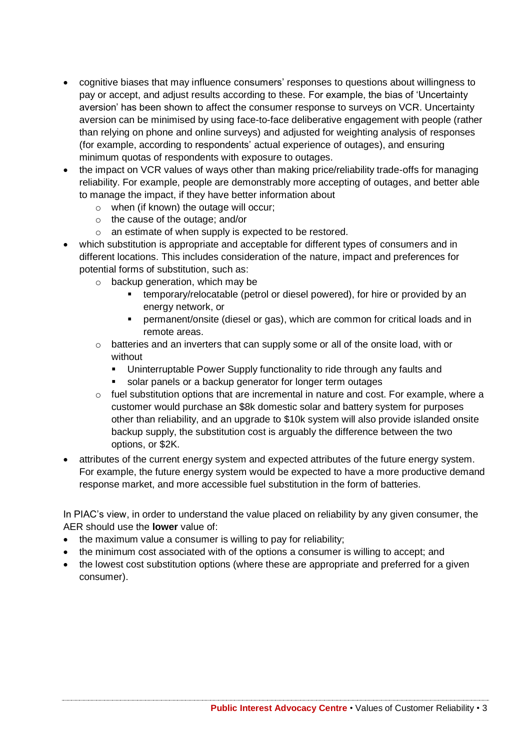- cognitive biases that may influence consumers' responses to questions about willingness to pay or accept, and adjust results according to these. For example, the bias of 'Uncertainty aversion' has been shown to affect the consumer response to surveys on VCR. Uncertainty aversion can be minimised by using face-to-face deliberative engagement with people (rather than relying on phone and online surveys) and adjusted for weighting analysis of responses (for example, according to respondents' actual experience of outages), and ensuring minimum quotas of respondents with exposure to outages.
- the impact on VCR values of ways other than making price/reliability trade-offs for managing reliability. For example, people are demonstrably more accepting of outages, and better able to manage the impact, if they have better information about
	- o when (if known) the outage will occur;
	- o the cause of the outage; and/or
	- o an estimate of when supply is expected to be restored.
- which substitution is appropriate and acceptable for different types of consumers and in different locations. This includes consideration of the nature, impact and preferences for potential forms of substitution, such as:
	- $\circ$  backup generation, which may be
		- **EXECT** temporary/relocatable (petrol or diesel powered), for hire or provided by an energy network, or
		- permanent/onsite (diesel or gas), which are common for critical loads and in remote areas.
	- $\circ$  batteries and an inverters that can supply some or all of the onsite load, with or without
		- Uninterruptable Power Supply functionality to ride through any faults and
		- solar panels or a backup generator for longer term outages
	- o fuel substitution options that are incremental in nature and cost. For example, where a customer would purchase an \$8k domestic solar and battery system for purposes other than reliability, and an upgrade to \$10k system will also provide islanded onsite backup supply, the substitution cost is arguably the difference between the two options, or \$2K.
- attributes of the current energy system and expected attributes of the future energy system. For example, the future energy system would be expected to have a more productive demand response market, and more accessible fuel substitution in the form of batteries.

In PIAC's view, in order to understand the value placed on reliability by any given consumer, the AER should use the **lower** value of:

- the maximum value a consumer is willing to pay for reliability;
- the minimum cost associated with of the options a consumer is willing to accept; and
- the lowest cost substitution options (where these are appropriate and preferred for a given consumer).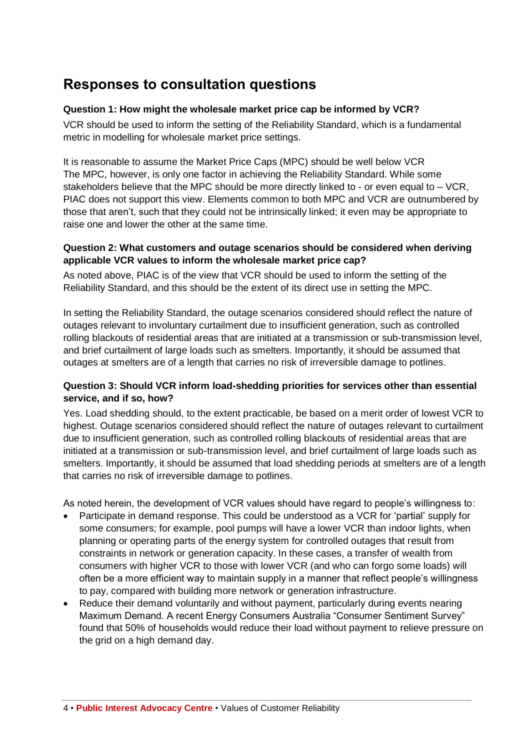## <span id="page-7-0"></span>**Responses to consultation questions**

#### **Question 1: How might the wholesale market price cap be informed by VCR?**

VCR should be used to inform the setting of the Reliability Standard, which is a fundamental metric in modelling for wholesale market price settings.

It is reasonable to assume the Market Price Caps (MPC) should be well below VCR The MPC, however, is only one factor in achieving the Reliability Standard. While some stakeholders believe that the MPC should be more directly linked to - or even equal to – VCR, PIAC does not support this view. Elements common to both MPC and VCR are outnumbered by those that aren't, such that they could not be intrinsically linked; it even may be appropriate to raise one and lower the other at the same time.

#### **Question 2: What customers and outage scenarios should be considered when deriving applicable VCR values to inform the wholesale market price cap?**

As noted above, PIAC is of the view that VCR should be used to inform the setting of the Reliability Standard, and this should be the extent of its direct use in setting the MPC.

In setting the Reliability Standard, the outage scenarios considered should reflect the nature of outages relevant to involuntary curtailment due to insufficient generation, such as controlled rolling blackouts of residential areas that are initiated at a transmission or sub-transmission level, and brief curtailment of large loads such as smelters. Importantly, it should be assumed that outages at smelters are of a length that carries no risk of irreversible damage to potlines.

#### **Question 3: Should VCR inform load-shedding priorities for services other than essential service, and if so, how?**

Yes. Load shedding should, to the extent practicable, be based on a merit order of lowest VCR to highest. Outage scenarios considered should reflect the nature of outages relevant to curtailment due to insufficient generation, such as controlled rolling blackouts of residential areas that are initiated at a transmission or sub-transmission level, and brief curtailment of large loads such as smelters. Importantly, it should be assumed that load shedding periods at smelters are of a length that carries no risk of irreversible damage to potlines.

As noted herein, the development of VCR values should have regard to people's willingness to:

- Participate in demand response. This could be understood as a VCR for 'partial' supply for some consumers; for example, pool pumps will have a lower VCR than indoor lights, when planning or operating parts of the energy system for controlled outages that result from constraints in network or generation capacity. In these cases, a transfer of wealth from consumers with higher VCR to those with lower VCR (and who can forgo some loads) will often be a more efficient way to maintain supply in a manner that reflect people's willingness to pay, compared with building more network or generation infrastructure.
- Reduce their demand voluntarily and without payment, particularly during events nearing Maximum Demand. A recent Energy Consumers Australia "Consumer Sentiment Survey" found that 50% of households would reduce their load without payment to relieve pressure on the grid on a high demand day.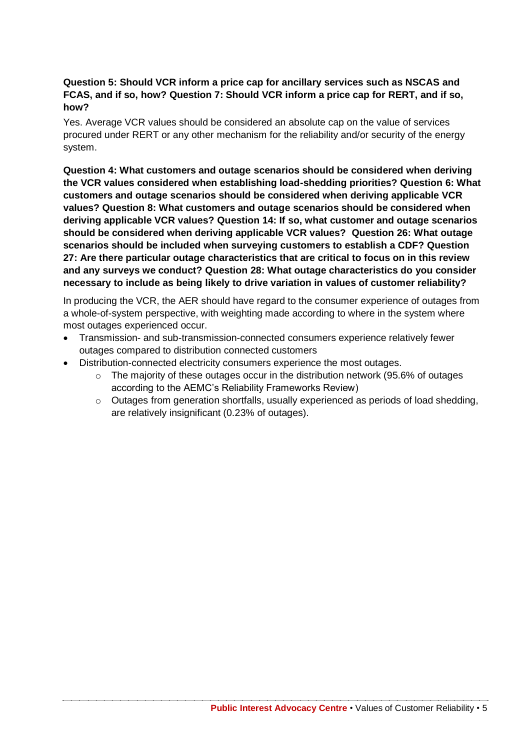#### **Question 5: Should VCR inform a price cap for ancillary services such as NSCAS and FCAS, and if so, how? Question 7: Should VCR inform a price cap for RERT, and if so, how?**

Yes. Average VCR values should be considered an absolute cap on the value of services procured under RERT or any other mechanism for the reliability and/or security of the energy system.

**Question 4: What customers and outage scenarios should be considered when deriving the VCR values considered when establishing load-shedding priorities? Question 6: What customers and outage scenarios should be considered when deriving applicable VCR values? Question 8: What customers and outage scenarios should be considered when deriving applicable VCR values? Question 14: If so, what customer and outage scenarios should be considered when deriving applicable VCR values? Question 26: What outage scenarios should be included when surveying customers to establish a CDF? Question 27: Are there particular outage characteristics that are critical to focus on in this review and any surveys we conduct? Question 28: What outage characteristics do you consider necessary to include as being likely to drive variation in values of customer reliability?**

In producing the VCR, the AER should have regard to the consumer experience of outages from a whole-of-system perspective, with weighting made according to where in the system where most outages experienced occur.

- Transmission- and sub-transmission-connected consumers experience relatively fewer outages compared to distribution connected customers
- Distribution-connected electricity consumers experience the most outages.
	- o The majority of these outages occur in the distribution network (95.6% of outages according to the AEMC's Reliability Frameworks Review)
	- $\circ$  Outages from generation shortfalls, usually experienced as periods of load shedding, are relatively insignificant (0.23% of outages).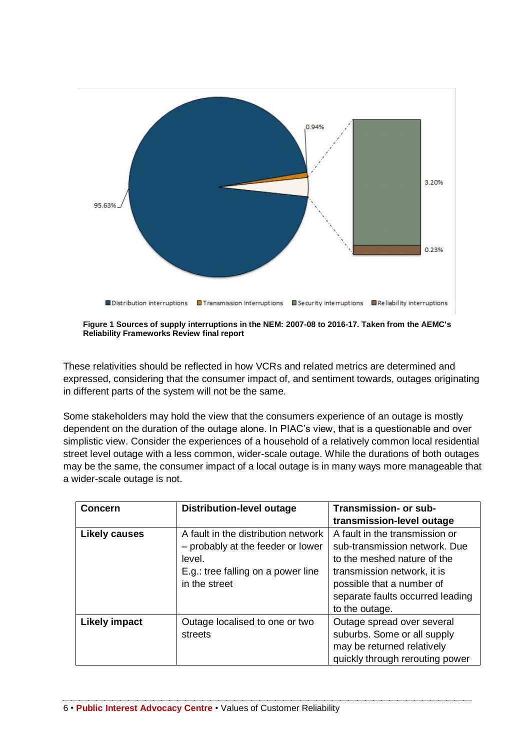

**Figure 1 Sources of supply interruptions in the NEM: 2007-08 to 2016-17. Taken from the AEMC's Reliability Frameworks Review final report**

These relativities should be reflected in how VCRs and related metrics are determined and expressed, considering that the consumer impact of, and sentiment towards, outages originating in different parts of the system will not be the same.

Some stakeholders may hold the view that the consumers experience of an outage is mostly dependent on the duration of the outage alone. In PIAC's view, that is a questionable and over simplistic view. Consider the experiences of a household of a relatively common local residential street level outage with a less common, wider-scale outage. While the durations of both outages may be the same, the consumer impact of a local outage is in many ways more manageable that a wider-scale outage is not.

| <b>Concern</b>       | <b>Distribution-level outage</b>                                                                                                          | Transmission- or sub-<br>transmission-level outage                                                                                                                                                               |
|----------------------|-------------------------------------------------------------------------------------------------------------------------------------------|------------------------------------------------------------------------------------------------------------------------------------------------------------------------------------------------------------------|
| <b>Likely causes</b> | A fault in the distribution network<br>- probably at the feeder or lower<br>level.<br>E.g.: tree falling on a power line<br>in the street | A fault in the transmission or<br>sub-transmission network. Due<br>to the meshed nature of the<br>transmission network, it is<br>possible that a number of<br>separate faults occurred leading<br>to the outage. |
| <b>Likely impact</b> | Outage localised to one or two<br>streets                                                                                                 | Outage spread over several<br>suburbs. Some or all supply<br>may be returned relatively<br>quickly through rerouting power                                                                                       |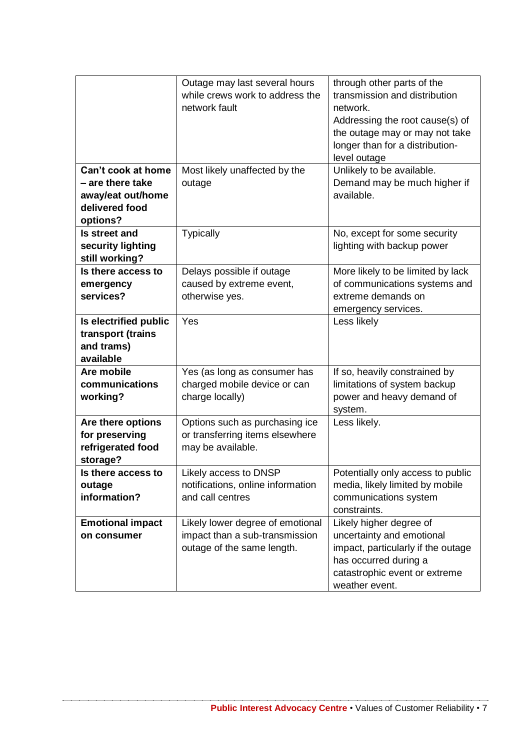|                                                                                           | Outage may last several hours<br>while crews work to address the<br>network fault                | through other parts of the<br>transmission and distribution<br>network.<br>Addressing the root cause(s) of<br>the outage may or may not take<br>longer than for a distribution-<br>level outage |
|-------------------------------------------------------------------------------------------|--------------------------------------------------------------------------------------------------|-------------------------------------------------------------------------------------------------------------------------------------------------------------------------------------------------|
| Can't cook at home<br>- are there take<br>away/eat out/home<br>delivered food<br>options? | Most likely unaffected by the<br>outage                                                          | Unlikely to be available.<br>Demand may be much higher if<br>available.                                                                                                                         |
| Is street and<br>security lighting<br>still working?                                      | <b>Typically</b>                                                                                 | No, except for some security<br>lighting with backup power                                                                                                                                      |
| Is there access to<br>emergency<br>services?                                              | Delays possible if outage<br>caused by extreme event,<br>otherwise yes.                          | More likely to be limited by lack<br>of communications systems and<br>extreme demands on<br>emergency services.                                                                                 |
| Is electrified public<br>transport (trains<br>and trams)<br>available                     | Yes                                                                                              | Less likely                                                                                                                                                                                     |
| Are mobile<br>communications<br>working?                                                  | Yes (as long as consumer has<br>charged mobile device or can<br>charge locally)                  | If so, heavily constrained by<br>limitations of system backup<br>power and heavy demand of<br>system.                                                                                           |
| Are there options<br>for preserving<br>refrigerated food<br>storage?                      | Options such as purchasing ice<br>or transferring items elsewhere<br>may be available.           | Less likely.                                                                                                                                                                                    |
| Is there access to<br>outage<br>information?                                              | Likely access to DNSP<br>notifications, online information<br>and call centres                   | Potentially only access to public<br>media, likely limited by mobile<br>communications system<br>constraints.                                                                                   |
| <b>Emotional impact</b><br>on consumer                                                    | Likely lower degree of emotional<br>impact than a sub-transmission<br>outage of the same length. | Likely higher degree of<br>uncertainty and emotional<br>impact, particularly if the outage<br>has occurred during a<br>catastrophic event or extreme<br>weather event.                          |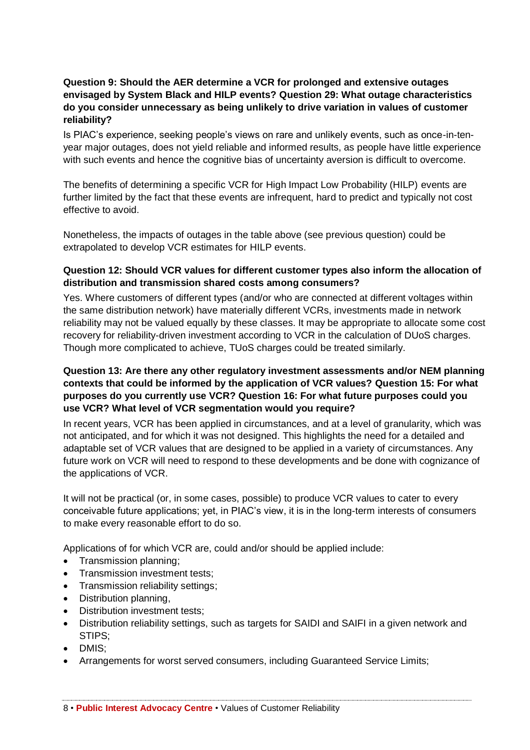#### **Question 9: Should the AER determine a VCR for prolonged and extensive outages envisaged by System Black and HILP events? Question 29: What outage characteristics do you consider unnecessary as being unlikely to drive variation in values of customer reliability?**

Is PIAC's experience, seeking people's views on rare and unlikely events, such as once-in-tenyear major outages, does not yield reliable and informed results, as people have little experience with such events and hence the cognitive bias of uncertainty aversion is difficult to overcome.

The benefits of determining a specific VCR for High Impact Low Probability (HILP) events are further limited by the fact that these events are infrequent, hard to predict and typically not cost effective to avoid.

Nonetheless, the impacts of outages in the table above (see previous question) could be extrapolated to develop VCR estimates for HILP events.

#### **Question 12: Should VCR values for different customer types also inform the allocation of distribution and transmission shared costs among consumers?**

Yes. Where customers of different types (and/or who are connected at different voltages within the same distribution network) have materially different VCRs, investments made in network reliability may not be valued equally by these classes. It may be appropriate to allocate some cost recovery for reliability-driven investment according to VCR in the calculation of DUoS charges. Though more complicated to achieve, TUoS charges could be treated similarly.

#### **Question 13: Are there any other regulatory investment assessments and/or NEM planning contexts that could be informed by the application of VCR values? Question 15: For what purposes do you currently use VCR? Question 16: For what future purposes could you use VCR? What level of VCR segmentation would you require?**

In recent years, VCR has been applied in circumstances, and at a level of granularity, which was not anticipated, and for which it was not designed. This highlights the need for a detailed and adaptable set of VCR values that are designed to be applied in a variety of circumstances. Any future work on VCR will need to respond to these developments and be done with cognizance of the applications of VCR.

It will not be practical (or, in some cases, possible) to produce VCR values to cater to every conceivable future applications; yet, in PIAC's view, it is in the long-term interests of consumers to make every reasonable effort to do so.

Applications of for which VCR are, could and/or should be applied include:

- Transmission planning;
- Transmission investment tests;
- Transmission reliability settings;
- Distribution planning,
- Distribution investment tests;
- Distribution reliability settings, such as targets for SAIDI and SAIFI in a given network and STIPS;
- DMIS;
- Arrangements for worst served consumers, including Guaranteed Service Limits;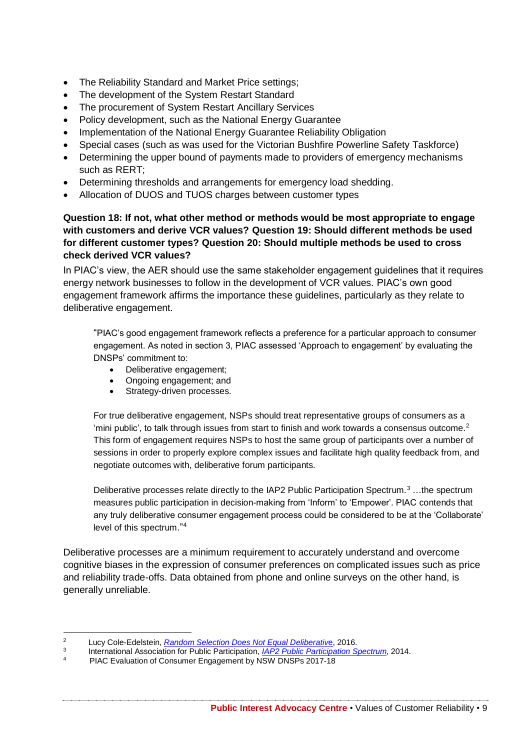- The Reliability Standard and Market Price settings;
- The development of the System Restart Standard
- The procurement of System Restart Ancillary Services
- Policy development, such as the National Energy Guarantee
- Implementation of the National Energy Guarantee Reliability Obligation
- Special cases (such as was used for the Victorian Bushfire Powerline Safety Taskforce)
- Determining the upper bound of payments made to providers of emergency mechanisms such as RERT;
- Determining thresholds and arrangements for emergency load shedding.
- Allocation of DUOS and TUOS charges between customer types

**Question 18: If not, what other method or methods would be most appropriate to engage with customers and derive VCR values? Question 19: Should different methods be used for different customer types? Question 20: Should multiple methods be used to cross check derived VCR values?**

In PIAC's view, the AER should use the same stakeholder engagement guidelines that it requires energy network businesses to follow in the development of VCR values. PIAC's own good engagement framework affirms the importance these guidelines, particularly as they relate to deliberative engagement.

"PIAC's good engagement framework reflects a preference for a particular approach to consumer engagement. As noted in section 3, PIAC assessed 'Approach to engagement' by evaluating the DNSPs' commitment to:

- Deliberative engagement;
- Ongoing engagement; and
- Strategy-driven processes.

For true deliberative engagement, NSPs should treat representative groups of consumers as a 'mini public', to talk through issues from start to finish and work towards a consensus outcome.<sup>2</sup> This form of engagement requires NSPs to host the same group of participants over a number of sessions in order to properly explore complex issues and facilitate high quality feedback from, and negotiate outcomes with, deliberative forum participants.

Deliberative processes relate directly to the IAP2 Public Participation Spectrum.<sup>3</sup> …the spectrum measures public participation in decision-making from 'Inform' to 'Empower'. PIAC contends that any truly deliberative consumer engagement process could be considered to be at the 'Collaborate' level of this spectrum."<sup>4</sup>

Deliberative processes are a minimum requirement to accurately understand and overcome cognitive biases in the expression of consumer preferences on complicated issues such as price and reliability trade-offs. Data obtained from phone and online surveys on the other hand, is generally unreliable.

 $\overline{2}$ <sup>2</sup> Lucy Cole-Edelstein, *[Random Selection Does Not Equal Deliberativ](https://www.iap2.org.au/ccms.r?Pageid=6000&tenid=IAP2&DispMode=goto|10106&Return=pageTop|61|10135)*e, 2016.

<sup>3</sup> International Association for Public Participation, *[IAP2 Public Participation Spectrum](https://www.iap2.org.au/Tenant/C0000004/00000001/files/IAP2_Public_Participation_Spectrum.pdf)*, 2014.

<sup>4</sup> PIAC Evaluation of Consumer Engagement by NSW DNSPs 2017-18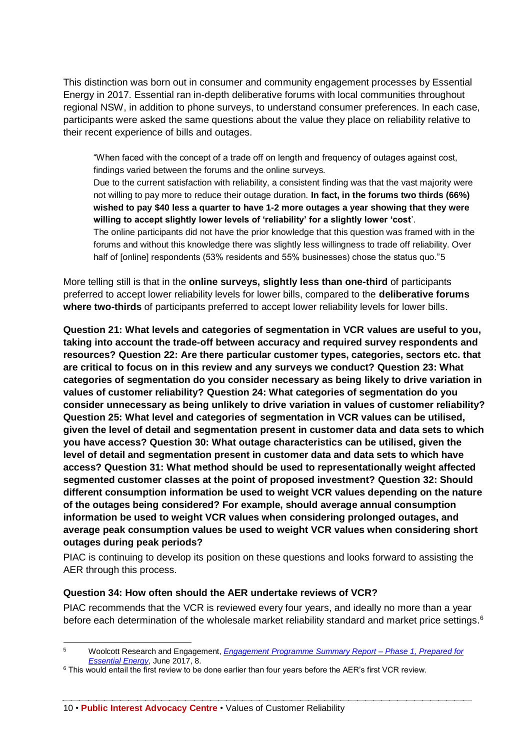This distinction was born out in consumer and community engagement processes by Essential Energy in 2017. Essential ran in-depth deliberative forums with local communities throughout regional NSW, in addition to phone surveys, to understand consumer preferences. In each case, participants were asked the same questions about the value they place on reliability relative to their recent experience of bills and outages.

"When faced with the concept of a trade off on length and frequency of outages against cost, findings varied between the forums and the online surveys.

Due to the current satisfaction with reliability, a consistent finding was that the vast majority were not willing to pay more to reduce their outage duration. **In fact, in the forums two thirds (66%) wished to pay \$40 less a quarter to have 1-2 more outages a year showing that they were willing to accept slightly lower levels of 'reliability' for a slightly lower 'cost**'. The online participants did not have the prior knowledge that this question was framed with in the

forums and without this knowledge there was slightly less willingness to trade off reliability. Over half of [online] respondents (53% residents and 55% businesses) chose the status quo."5

More telling still is that in the **online surveys, slightly less than one-third** of participants preferred to accept lower reliability levels for lower bills, compared to the **deliberative forums where two-thirds** of participants preferred to accept lower reliability levels for lower bills.

**Question 21: What levels and categories of segmentation in VCR values are useful to you, taking into account the trade-off between accuracy and required survey respondents and resources? Question 22: Are there particular customer types, categories, sectors etc. that are critical to focus on in this review and any surveys we conduct? Question 23: What categories of segmentation do you consider necessary as being likely to drive variation in values of customer reliability? Question 24: What categories of segmentation do you consider unnecessary as being unlikely to drive variation in values of customer reliability? Question 25: What level and categories of segmentation in VCR values can be utilised, given the level of detail and segmentation present in customer data and data sets to which you have access? Question 30: What outage characteristics can be utilised, given the level of detail and segmentation present in customer data and data sets to which have access? Question 31: What method should be used to representationally weight affected segmented customer classes at the point of proposed investment? Question 32: Should different consumption information be used to weight VCR values depending on the nature of the outages being considered? For example, should average annual consumption information be used to weight VCR values when considering prolonged outages, and average peak consumption values be used to weight VCR values when considering short outages during peak periods?**

PIAC is continuing to develop its position on these questions and looks forward to assisting the AER through this process.

#### **Question 34: How often should the AER undertake reviews of VCR?**

PIAC recommends that the VCR is reviewed every four years, and ideally no more than a year before each determination of the wholesale market reliability standard and market price settings.<sup>6</sup>

10 • **Public Interest Advocacy Centre** • Values of Customer Reliability

 $\overline{5}$ <sup>5</sup> Woolcott Research and Engagement, *[Engagement Programme Summary Report –](https://www.woolcott.com.au/EssentialEnergy/EssentialEnergyEngagementProgrammePhase1SummaryReport.pdf) Phase 1, Prepared for [Essential Energy](https://www.woolcott.com.au/EssentialEnergy/EssentialEnergyEngagementProgrammePhase1SummaryReport.pdf)*, June 2017, 8.

<sup>&</sup>lt;sup>6</sup> This would entail the first review to be done earlier than four years before the AER's first VCR review.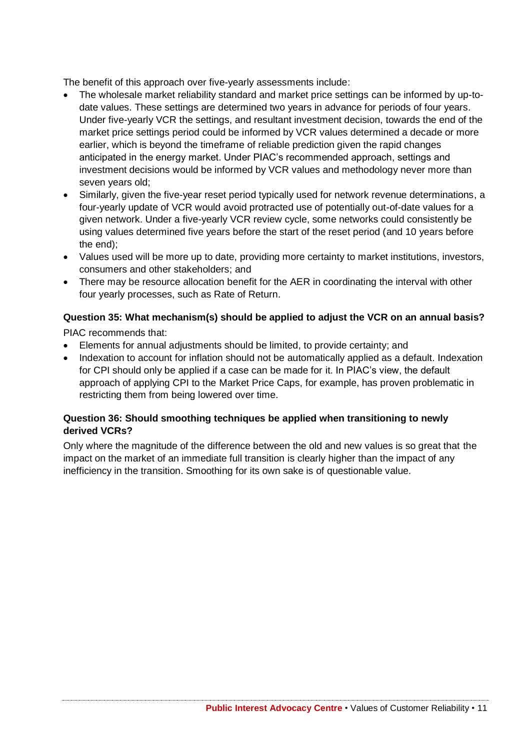The benefit of this approach over five-yearly assessments include:

- The wholesale market reliability standard and market price settings can be informed by up-todate values. These settings are determined two years in advance for periods of four years. Under five-yearly VCR the settings, and resultant investment decision, towards the end of the market price settings period could be informed by VCR values determined a decade or more earlier, which is beyond the timeframe of reliable prediction given the rapid changes anticipated in the energy market. Under PIAC's recommended approach, settings and investment decisions would be informed by VCR values and methodology never more than seven years old;
- Similarly, given the five-year reset period typically used for network revenue determinations, a four-yearly update of VCR would avoid protracted use of potentially out-of-date values for a given network. Under a five-yearly VCR review cycle, some networks could consistently be using values determined five years before the start of the reset period (and 10 years before the end);
- Values used will be more up to date, providing more certainty to market institutions, investors, consumers and other stakeholders; and
- There may be resource allocation benefit for the AER in coordinating the interval with other four yearly processes, such as Rate of Return.

## **Question 35: What mechanism(s) should be applied to adjust the VCR on an annual basis?**

PIAC recommends that:

- Elements for annual adjustments should be limited, to provide certainty; and
- Indexation to account for inflation should not be automatically applied as a default. Indexation for CPI should only be applied if a case can be made for it. In PIAC's view, the default approach of applying CPI to the Market Price Caps, for example, has proven problematic in restricting them from being lowered over time.

#### **Question 36: Should smoothing techniques be applied when transitioning to newly derived VCRs?**

Only where the magnitude of the difference between the old and new values is so great that the impact on the market of an immediate full transition is clearly higher than the impact of any inefficiency in the transition. Smoothing for its own sake is of questionable value.